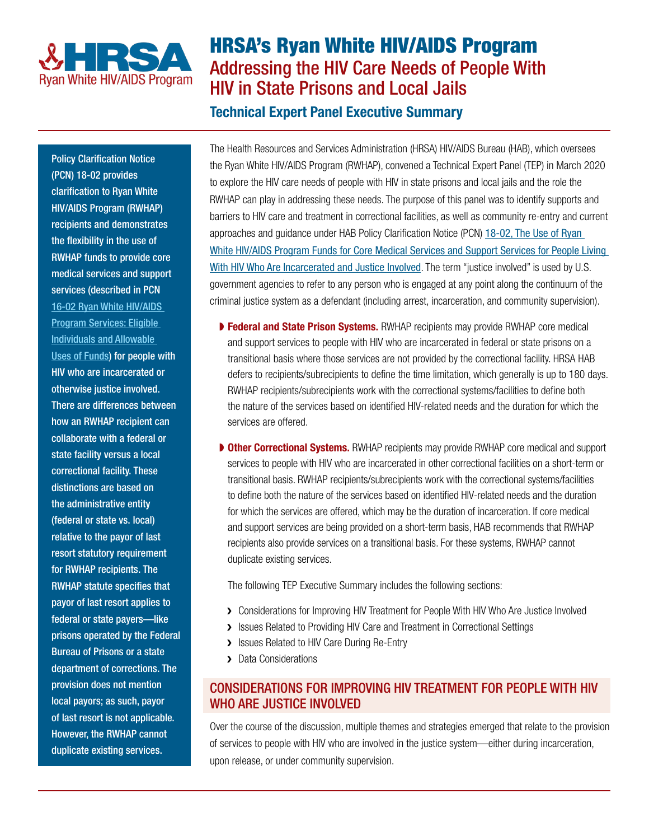

# HRSA's Ryan White HIV/AIDS Program Addressing the HIV Care Needs of People With HIV in State Prisons and Local Jails

# Technical Expert Panel Executive Summary

Policy Clarification Notice (PCN) 18-02 provides clarification to Ryan White HIV/AIDS Program (RWHAP) recipients and demonstrates the flexibility in the use of RWHAP funds to provide core medical services and support services (described in PCN [16-02 Ryan White HIV/AIDS](https://hab.hrsa.gov/sites/default/files/hab/program-grants-management/ServiceCategoryPCN_16-02Final.pdf)  [Program Services: Eligible](https://hab.hrsa.gov/sites/default/files/hab/program-grants-management/ServiceCategoryPCN_16-02Final.pdf)  [Individuals and Allowable](https://hab.hrsa.gov/sites/default/files/hab/program-grants-management/ServiceCategoryPCN_16-02Final.pdf)  [Uses of Funds\)](https://hab.hrsa.gov/sites/default/files/hab/program-grants-management/ServiceCategoryPCN_16-02Final.pdf) for people with HIV who are incarcerated or otherwise justice involved. There are differences between how an RWHAP recipient can collaborate with a federal or state facility versus a local correctional facility. These distinctions are based on the administrative entity (federal or state vs. local) relative to the payor of last resort statutory requirement for RWHAP recipients. The RWHAP statute specifies that payor of last resort applies to federal or state payers—like prisons operated by the Federal Bureau of Prisons or a state department of corrections. The provision does not mention local payors; as such, payor of last resort is not applicable. However, the RWHAP cannot duplicate existing services.

The Health Resources and Services Administration (HRSA) HIV/AIDS Bureau (HAB), which oversees the Ryan White HIV/AIDS Program (RWHAP), convened a Technical Expert Panel (TEP) in March 2020 to explore the HIV care needs of people with HIV in state prisons and local jails and the role the RWHAP can play in addressing these needs. The purpose of this panel was to identify supports and barriers to HIV care and treatment in correctional facilities, as well as community re-entry and current approaches and guidance under HAB Policy Clarification Notice (PCN) 18-02, The Use of Ryan [White HIV/AIDS Program Funds for Core Medical Services and Support Services for People Living](https://hab.hrsa.gov/sites/default/files/hab/program-grants-management/PCN-18-02-people-who-are-incarcerated.pdf)  [With HIV Who Are Incarcerated and Justice Involved](https://hab.hrsa.gov/sites/default/files/hab/program-grants-management/PCN-18-02-people-who-are-incarcerated.pdf). The term "justice involved" is used by U.S. government agencies to refer to any person who is engaged at any point along the continuum of the criminal justice system as a defendant (including arrest, incarceration, and community supervision).

- ▶ Federal and State Prison Systems. RWHAP recipients may provide RWHAP core medical and support services to people with HIV who are incarcerated in federal or state prisons on a transitional basis where those services are not provided by the correctional facility. HRSA HAB defers to recipients/subrecipients to define the time limitation, which generally is up to 180 days. RWHAP recipients/subrecipients work with the correctional systems/facilities to define both the nature of the services based on identified HIV-related needs and the duration for which the services are offered.
- **▶ Other Correctional Systems.** RWHAP recipients may provide RWHAP core medical and support services to people with HIV who are incarcerated in other correctional facilities on a short-term or transitional basis. RWHAP recipients/subrecipients work with the correctional systems/facilities to define both the nature of the services based on identified HIV-related needs and the duration for which the services are offered, which may be the duration of incarceration. If core medical and support services are being provided on a short-term basis, HAB recommends that RWHAP recipients also provide services on a transitional basis. For these systems, RWHAP cannot duplicate existing services.

The following TEP Executive Summary includes the following sections:

- > Considerations for Improving HIV Treatment for People With HIV Who Are Justice Involved
- > Issues Related to Providing HIV Care and Treatment in Correctional Settings
- > Issues Related to HIV Care During Re-Entry
- > Data Considerations

# CONSIDERATIONS FOR IMPROVING HIV TREATMENT FOR PEOPLE WITH HIV WHO ARE JUSTICE INVOLVED

Over the course of the discussion, multiple themes and strategies emerged that relate to the provision of services to people with HIV who are involved in the justice system—either during incarceration, upon release, or under community supervision.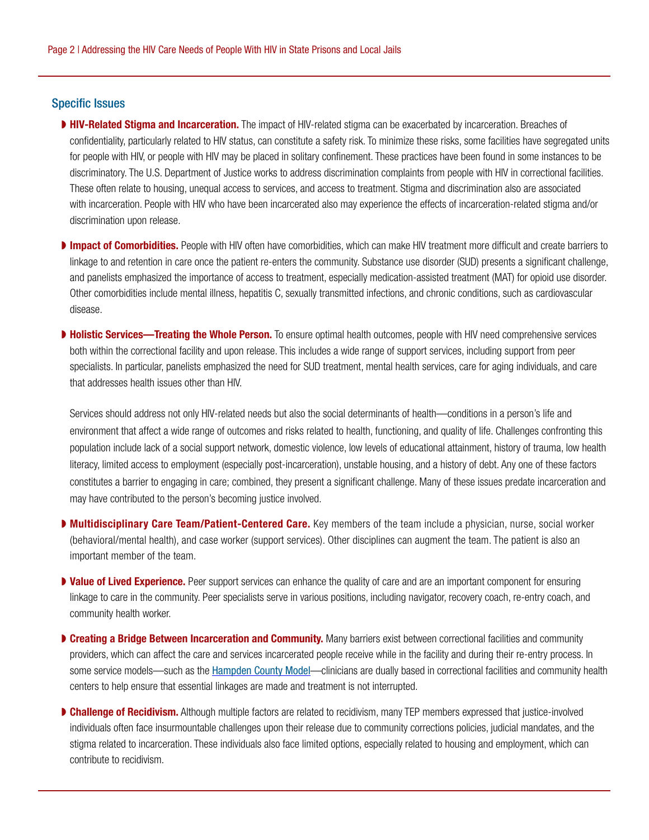#### Specific Issues

- **HIV-Related Stigma and Incarceration.** The impact of HIV-related stigma can be exacerbated by incarceration. Breaches of confidentiality, particularly related to HIV status, can constitute a safety risk. To minimize these risks, some facilities have segregated units for people with HIV, or people with HIV may be placed in solitary confinement. These practices have been found in some instances to be discriminatory. The U.S. Department of Justice works to address discrimination complaints from people with HIV in correctional facilities. These often relate to housing, unequal access to services, and access to treatment. Stigma and discrimination also are associated with incarceration. People with HIV who have been incarcerated also may experience the effects of incarceration-related stigma and/or discrimination upon release.
- **Impact of Comorbidities.** People with HIV often have comorbidities, which can make HIV treatment more difficult and create barriers to linkage to and retention in care once the patient re-enters the community. Substance use disorder (SUD) presents a significant challenge, and panelists emphasized the importance of access to treatment, especially medication-assisted treatment (MAT) for opioid use disorder. Other comorbidities include mental illness, hepatitis C, sexually transmitted infections, and chronic conditions, such as cardiovascular disease.
- ▶ Holistic Services—Treating the Whole Person. To ensure optimal health outcomes, people with HIV need comprehensive services both within the correctional facility and upon release. This includes a wide range of support services, including support from peer specialists. In particular, panelists emphasized the need for SUD treatment, mental health services, care for aging individuals, and care that addresses health issues other than HIV.

Services should address not only HIV-related needs but also the social determinants of health—conditions in a person's life and environment that affect a wide range of outcomes and risks related to health, functioning, and quality of life. Challenges confronting this population include lack of a social support network, domestic violence, low levels of educational attainment, history of trauma, low health literacy, limited access to employment (especially post-incarceration), unstable housing, and a history of debt. Any one of these factors constitutes a barrier to engaging in care; combined, they present a significant challenge. Many of these issues predate incarceration and may have contributed to the person's becoming justice involved.

- ▶ Multidisciplinary Care Team/Patient-Centered Care. Key members of the team include a physician, nurse, social worker (behavioral/mental health), and case worker (support services). Other disciplines can augment the team. The patient is also an important member of the team.
- **▶ Value of Lived Experience.** Peer support services can enhance the quality of care and are an important component for ensuring linkage to care in the community. Peer specialists serve in various positions, including navigator, recovery coach, re-entry coach, and community health worker.
- ▶ Creating a Bridge Between Incarceration and Community. Many barriers exist between correctional facilities and community providers, which can affect the care and services incarcerated people receive while in the facility and during their re-entry process. In some service models—such as the [Hampden County Model](http://hcsdma.org/public-resources/public-health-model/)—clinicians are dually based in correctional facilities and community health centers to help ensure that essential linkages are made and treatment is not interrupted.
- ▶ Challenge of Recidivism. Although multiple factors are related to recidivism, many TEP members expressed that justice-involved individuals often face insurmountable challenges upon their release due to community corrections policies, judicial mandates, and the stigma related to incarceration. These individuals also face limited options, especially related to housing and employment, which can contribute to recidivism.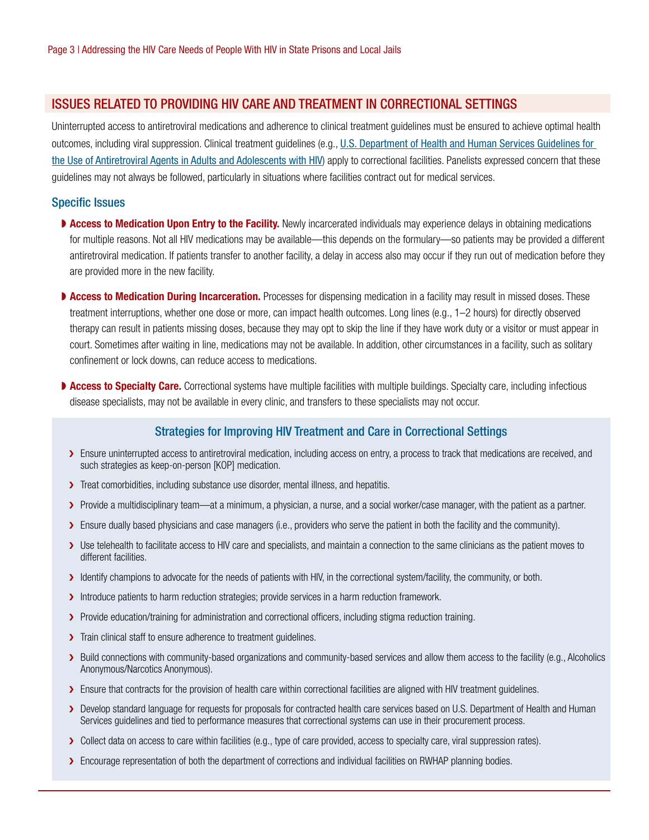#### ISSUES RELATED TO PROVIDING HIV CARE AND TREATMENT IN CORRECTIONAL SETTINGS

Uninterrupted access to antiretroviral medications and adherence to clinical treatment guidelines must be ensured to achieve optimal health outcomes, including viral suppression. Clinical treatment guidelines (e.g., U.S. Department of Health and Human Services Guidelines for [the Use of Antiretroviral Agents in Adults and Adolescents with HIV](https://aidsinfo.nih.gov/contentfiles/AdultandAdolescentGL003510.pdf)) apply to correctional facilities. Panelists expressed concern that these guidelines may not always be followed, particularly in situations where facilities contract out for medical services.

#### Specific Issues

- **▶ Access to Medication Upon Entry to the Facility.** Newly incarcerated individuals may experience delays in obtaining medications for multiple reasons. Not all HIV medications may be available—this depends on the formulary—so patients may be provided a different antiretroviral medication. If patients transfer to another facility, a delay in access also may occur if they run out of medication before they are provided more in the new facility.
- ▶ Access to Medication During Incarceration. Processes for dispensing medication in a facility may result in missed doses. These treatment interruptions, whether one dose or more, can impact health outcomes. Long lines (e.g., 1–2 hours) for directly observed therapy can result in patients missing doses, because they may opt to skip the line if they have work duty or a visitor or must appear in court. Sometimes after waiting in line, medications may not be available. In addition, other circumstances in a facility, such as solitary confinement or lock downs, can reduce access to medications.
- ▶ Access to Specialty Care. Correctional systems have multiple facilities with multiple buildings. Specialty care, including infectious disease specialists, may not be available in every clinic, and transfers to these specialists may not occur.

#### Strategies for Improving HIV Treatment and Care in Correctional Settings

- > Ensure uninterrupted access to antiretroviral medication, including access on entry, a process to track that medications are received, and such strategies as keep-on-person [KOP] medication.
- > Treat comorbidities, including substance use disorder, mental illness, and hepatitis.
- > Provide a multidisciplinary team—at a minimum, a physician, a nurse, and a social worker/case manager, with the patient as a partner.
- > Ensure dually based physicians and case managers (i.e., providers who serve the patient in both the facility and the community).
- ❯ Use telehealth to facilitate access to HIV care and specialists, and maintain a connection to the same clinicians as the patient moves to different facilities.
- > Identify champions to advocate for the needs of patients with HIV, in the correctional system/facility, the community, or both.
- > Introduce patients to harm reduction strategies; provide services in a harm reduction framework.
- > Provide education/training for administration and correctional officers, including stigma reduction training.
- > Train clinical staff to ensure adherence to treatment guidelines.
- ▶ Build connections with community-based organizations and community-based services and allow them access to the facility (e.g., Alcoholics Anonymous/Narcotics Anonymous).
- > Ensure that contracts for the provision of health care within correctional facilities are aligned with HIV treatment guidelines.
- ▶ Develop standard language for requests for proposals for contracted health care services based on U.S. Department of Health and Human Services guidelines and tied to performance measures that correctional systems can use in their procurement process.
- ❯ Collect data on access to care within facilities (e.g., type of care provided, access to specialty care, viral suppression rates).
- > Encourage representation of both the department of corrections and individual facilities on RWHAP planning bodies.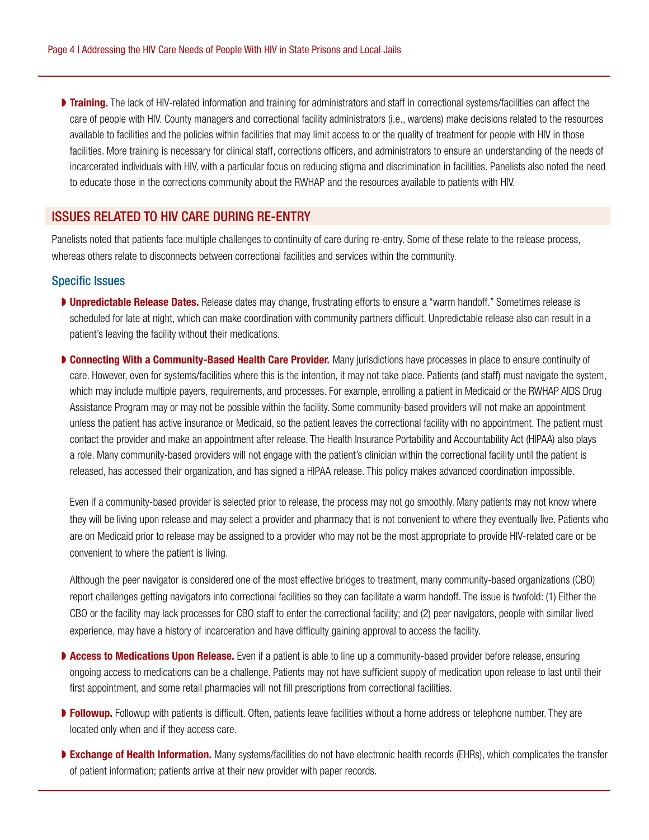**Training.** The lack of HIV-related information and training for administrators and staff in correctional systems/facilities can affect the care of people with HIV. County managers and correctional facility administrators (i.e., wardens) make decisions related to the resources available to facilities and the policies within facilities that may limit access to or the quality of treatment for people with HIV in those facilities. More training is necessary for clinical staff, corrections officers, and administrators to ensure an understanding of the needs of incarcerated individuals with HIV, with a particular focus on reducing stigma and discrimination in facilities. Panelists also noted the need to educate those in the corrections community about the RWHAP and the resources available to patients with HIV.

### ISSUES RELATED TO HIV CARE DURING RE-ENTRY

Panelists noted that patients face multiple challenges to continuity of care during re-entry. Some of these relate to the release process, whereas others relate to disconnects between correctional facilities and services within the community.

#### Specific Issues

- **▶ Unpredictable Release Dates.** Release dates may change, frustrating efforts to ensure a "warm handoff." Sometimes release is scheduled for late at night, which can make coordination with community partners difficult. Unpredictable release also can result in a patient's leaving the facility without their medications.
- ▶ Connecting With a Community-Based Health Care Provider. Many jurisdictions have processes in place to ensure continuity of care. However, even for systems/facilities where this is the intention, it may not take place. Patients (and staff) must navigate the system, which may include multiple payers, requirements, and processes. For example, enrolling a patient in Medicaid or the RWHAP AIDS Drug Assistance Program may or may not be possible within the facility. Some community-based providers will not make an appointment unless the patient has active insurance or Medicaid, so the patient leaves the correctional facility with no appointment. The patient must contact the provider and make an appointment after release. The Health Insurance Portability and Accountability Act (HIPAA) also plays a role. Many community-based providers will not engage with the patient's clinician within the correctional facility until the patient is released, has accessed their organization, and has signed a HIPAA release. This policy makes advanced coordination impossible.

Even if a community-based provider is selected prior to release, the process may not go smoothly. Many patients may not know where they will be living upon release and may select a provider and pharmacy that is not convenient to where they eventually live. Patients who are on Medicaid prior to release may be assigned to a provider who may not be the most appropriate to provide HIV-related care or be convenient to where the patient is living.

Although the peer navigator is considered one of the most effective bridges to treatment, many community-based organizations (CBO) report challenges getting navigators into correctional facilities so they can facilitate a warm handoff. The issue is twofold: (1) Either the CBO or the facility may lack processes for CBO staff to enter the correctional facility; and (2) peer navigators, people with similar lived experience, may have a history of incarceration and have difficulty gaining approval to access the facility.

- ▶ Access to Medications Upon Release. Even if a patient is able to line up a community-based provider before release, ensuring ongoing access to medications can be a challenge. Patients may not have sufficient supply of medication upon release to last until their first appointment, and some retail pharmacies will not fill prescriptions from correctional facilities.
- **Followup.** Followup with patients is difficult. Often, patients leave facilities without a home address or telephone number. They are located only when and if they access care.
- **Exchange of Health Information.** Many systems/facilities do not have electronic health records (EHRs), which complicates the transfer of patient information; patients arrive at their new provider with paper records.